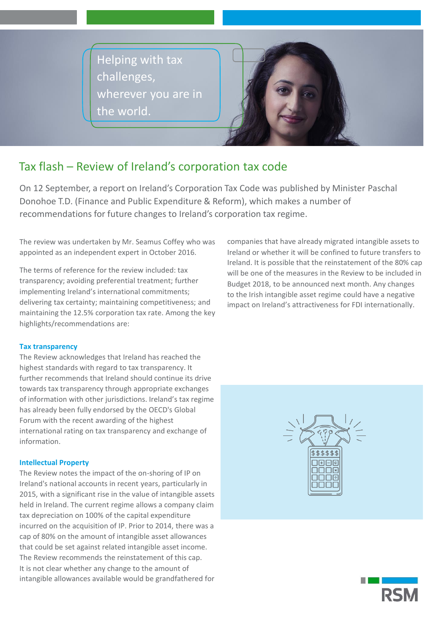Helping with tax challenges, wherever you are in the world.



# Tax flash – Review of Ireland's corporation tax code

On 12 September, a report on Ireland's Corporation Tax Code was published by Minister Paschal Donohoe T.D. (Finance and Public Expenditure & Reform), which makes a number of recommendations for future changes to Ireland's corporation tax regime.

The review was undertaken by Mr. Seamus Coffey who was appointed as an independent expert in October 2016.

The terms of reference for the review included: tax transparency; avoiding preferential treatment; further implementing Ireland's international commitments; delivering tax certainty; maintaining competitiveness; and maintaining the 12.5% corporation tax rate. Among the key highlights/recommendations are:

## **Tax transparency**

The Review acknowledges that Ireland has reached the highest standards with regard to tax transparency. It further recommends that Ireland should continue its drive towards tax transparency through appropriate exchanges of information with other jurisdictions. Ireland's tax regime has already been fully endorsed by the OECD's Global Forum with the recent awarding of the highest international rating on tax transparency and exchange of information.

## **Intellectual Property**

The Review notes the impact of the on-shoring of IP on Ireland's national accounts in recent years, particularly in 2015, with a significant rise in the value of intangible assets held in Ireland. The current regime allows a company claim tax depreciation on 100% of the capital expenditure incurred on the acquisition of IP. Prior to 2014, there was a cap of 80% on the amount of intangible asset allowances that could be set against related intangible asset income. The Review recommends the reinstatement of this cap. It is not clear whether any change to the amount of intangible allowances available would be grandfathered for

companies that have already migrated intangible assets to Ireland or whether it will be confined to future transfers to Ireland. It is possible that the reinstatement of the 80% cap will be one of the measures in the Review to be included in Budget 2018, to be announced next month. Any changes to the Irish intangible asset regime could have a negative impact on Ireland's attractiveness for FDI internationally.